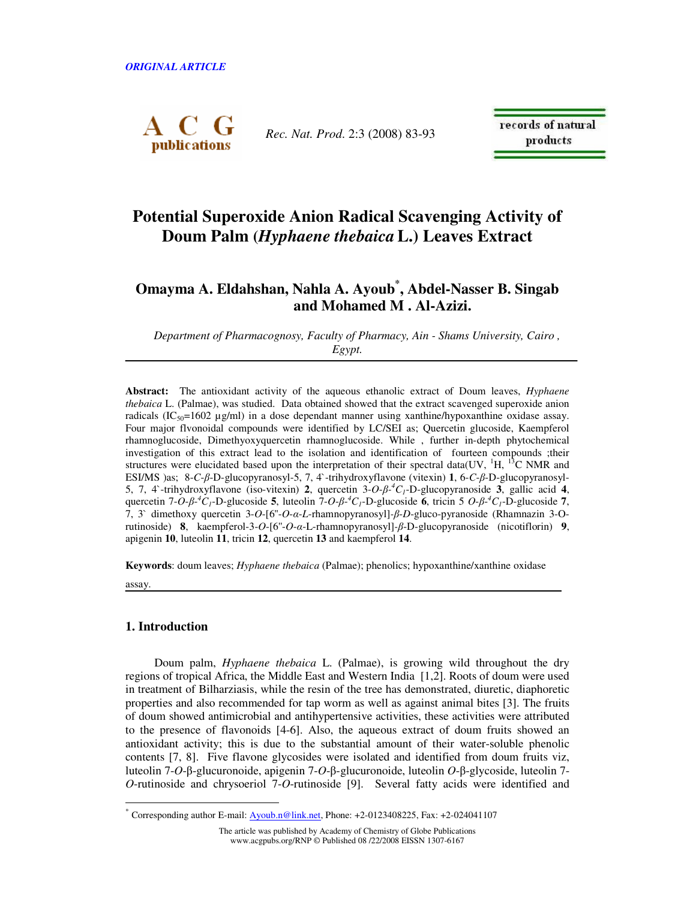

*Rec. Nat. Prod*. 2:3 (2008) 83-93

records of natural products

# **Potential Superoxide Anion Radical Scavenging Activity of Doum Palm (***Hyphaene thebaica***L.) Leaves Extract**

# **Omayma A. Eldahshan, Nahla A. Ayoub\* , Abdel-Nasser B. Singab and Mohamed M . Al-Azizi.**

*Department of Pharmacognosy, Faculty of Pharmacy, Ain - Shams University, Cairo , Egypt.* 

**Abstract:** The antioxidant activity of the aqueous ethanolic extract of Doum leaves, *Hyphaene thebaica* L. (Palmae), was studied. Data obtained showed that the extract scavenged superoxide anion radicals ( $IC_{50}$ =1602 µg/ml) in a dose dependant manner using xanthine/hypoxanthine oxidase assay. Four major flvonoidal compounds were identified by LC/SEI as; Quercetin glucoside, Kaempferol rhamnoglucoside, Dimethyoxyquercetin rhamnoglucoside. While , further in-depth phytochemical investigation of this extract lead to the isolation and identification of fourteen compounds ;their structures were elucidated based upon the interpretation of their spectral data(UV,  $^{1}$ H,  $^{13}$ C NMR and ESI/MS )as; 8-*C*-β-D-glucopyranosyl-5, 7, 4`-trihydroxyflavone (vitexin) **1**, 6-*C*-β-D-glucopyranosyl-5, 7, 4`-trihydroxyflavone (iso-vitexin) **2**, quercetin 3-*O*-β*-<sup>4</sup>C1*-D-glucopyranoside **3**, gallic acid **4**, quercetin 7-*O*-β-*<sup>4</sup>C1*-D-glucoside **5**, luteolin 7-*O*-β-*<sup>4</sup>C1*-D-glucoside **6**, tricin 5 *O*-β-*<sup>4</sup>C1*-D-glucoside **7**, 7, 3` dimethoxy quercetin 3-*O*-[6''-*O*-α-*L*-rhamnopyranosyl]*-*β-*D*-gluco-pyranoside (Rhamnazin 3-Orutinoside) **8**, kaempferol-3-*O*-[6''-*O*-α-L-rhamnopyranosyl]*-*β-D-glucopyranoside (nicotiflorin) **9**, apigenin **10**, luteolin **11**, tricin **12**, quercetin **13** and kaempferol **14**.

**Keywords**: doum leaves; *Hyphaene thebaica* (Palmae); phenolics; hypoxanthine/xanthine oxidase assay.

## **1. Introduction**

 $\ddot{\phantom{a}}$ 

Doum palm, *Hyphaene thebaica* L. (Palmae), is growing wild throughout the dry regions of tropical Africa, the Middle East and Western India [1,2]. Roots of doum were used in treatment of Bilharziasis, while the resin of the tree has demonstrated, diuretic, diaphoretic properties and also recommended for tap worm as well as against animal bites [3]. The fruits of doum showed antimicrobial and antihypertensive activities, these activities were attributed to the presence of flavonoids [4-6]. Also, the aqueous extract of doum fruits showed an antioxidant activity; this is due to the substantial amount of their water-soluble phenolic contents [7, 8]. Five flavone glycosides were isolated and identified from doum fruits viz, luteolin 7-*O*-β-glucuronoide, apigenin 7-*O*-β-glucuronoide, luteolin *O*-β-glycoside, luteolin 7- *O*-rutinoside and chrysoeriol 7-*O*-rutinoside [9]. Several fatty acids were identified and

Corresponding author E-mail:  $\frac{\text{Avoub.n@link.net}}{\text{Avob.n@link.net}}$ , Phone: +2-0123408225, Fax: +2-024041107

The article was published by Academy of Chemistry of Globe Publications www.acgpubs.org/RNP © Published 08 /22/2008 EISSN 1307-6167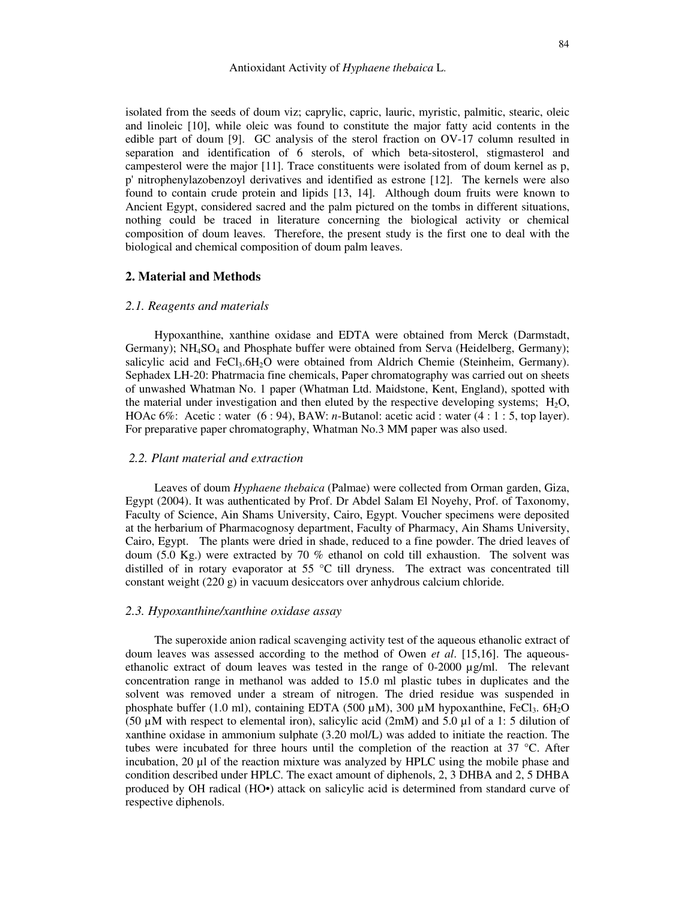isolated from the seeds of doum viz; caprylic, capric, lauric, myristic, palmitic, stearic, oleic and linoleic [10], while oleic was found to constitute the major fatty acid contents in the edible part of doum [9]. GC analysis of the sterol fraction on OV-17 column resulted in separation and identification of 6 sterols, of which beta-sitosterol, stigmasterol and campesterol were the major [11]. Trace constituents were isolated from of doum kernel as p, p' nitrophenylazobenzoyl derivatives and identified as estrone [12]. The kernels were also found to contain crude protein and lipids [13, 14]. Although doum fruits were known to Ancient Egypt, considered sacred and the palm pictured on the tombs in different situations, nothing could be traced in literature concerning the biological activity or chemical composition of doum leaves. Therefore, the present study is the first one to deal with the biological and chemical composition of doum palm leaves.

## **2. Material and Methods**

## *2.1. Reagents and materials*

Hypoxanthine, xanthine oxidase and EDTA were obtained from Merck (Darmstadt, Germany); NH<sub>4</sub>SO<sub>4</sub> and Phosphate buffer were obtained from Serva (Heidelberg, Germany); salicylic acid and FeCl<sub>3</sub>.6H<sub>2</sub>O were obtained from Aldrich Chemie (Steinheim, Germany). Sephadex LH-20: Phatrmacia fine chemicals, Paper chromatography was carried out on sheets of unwashed Whatman No. 1 paper (Whatman Ltd. Maidstone, Kent, England), spotted with the material under investigation and then eluted by the respective developing systems;  $H_2O$ , HOAc 6%: Acetic : water (6 : 94), BAW: *n*-Butanol: acetic acid : water (4 : 1 : 5, top layer). For preparative paper chromatography, Whatman No.3 MM paper was also used.

#### *2.2. Plant material and extraction*

Leaves of doum *Hyphaene thebaica* (Palmae) were collected from Orman garden, Giza, Egypt (2004). It was authenticated by Prof. Dr Abdel Salam El Noyehy, Prof. of Taxonomy, Faculty of Science, Ain Shams University, Cairo, Egypt. Voucher specimens were deposited at the herbarium of Pharmacognosy department, Faculty of Pharmacy, Ain Shams University, Cairo, Egypt. The plants were dried in shade, reduced to a fine powder. The dried leaves of doum (5.0 Kg.) were extracted by 70 % ethanol on cold till exhaustion. The solvent was distilled of in rotary evaporator at 55 °C till dryness. The extract was concentrated till constant weight (220 g) in vacuum desiccators over anhydrous calcium chloride.

## *2.3. Hypoxanthine/xanthine oxidase assay*

The superoxide anion radical scavenging activity test of the aqueous ethanolic extract of doum leaves was assessed according to the method of Owen *et al*. [15,16]. The aqueousethanolic extract of doum leaves was tested in the range of  $0-2000 \mu g/ml$ . The relevant concentration range in methanol was added to 15.0 ml plastic tubes in duplicates and the solvent was removed under a stream of nitrogen. The dried residue was suspended in phosphate buffer (1.0 ml), containing EDTA (500  $\mu$ M), 300  $\mu$ M hypoxanthine, FeCl<sub>3</sub>. 6H<sub>2</sub>O (50  $\mu$ M with respect to elemental iron), salicylic acid (2mM) and 5.0  $\mu$ l of a 1: 5 dilution of xanthine oxidase in ammonium sulphate (3.20 mol/L) was added to initiate the reaction. The tubes were incubated for three hours until the completion of the reaction at 37 °C. After incubation, 20  $\mu$  of the reaction mixture was analyzed by HPLC using the mobile phase and condition described under HPLC. The exact amount of diphenols, 2, 3 DHBA and 2, 5 DHBA produced by OH radical (HO•) attack on salicylic acid is determined from standard curve of respective diphenols.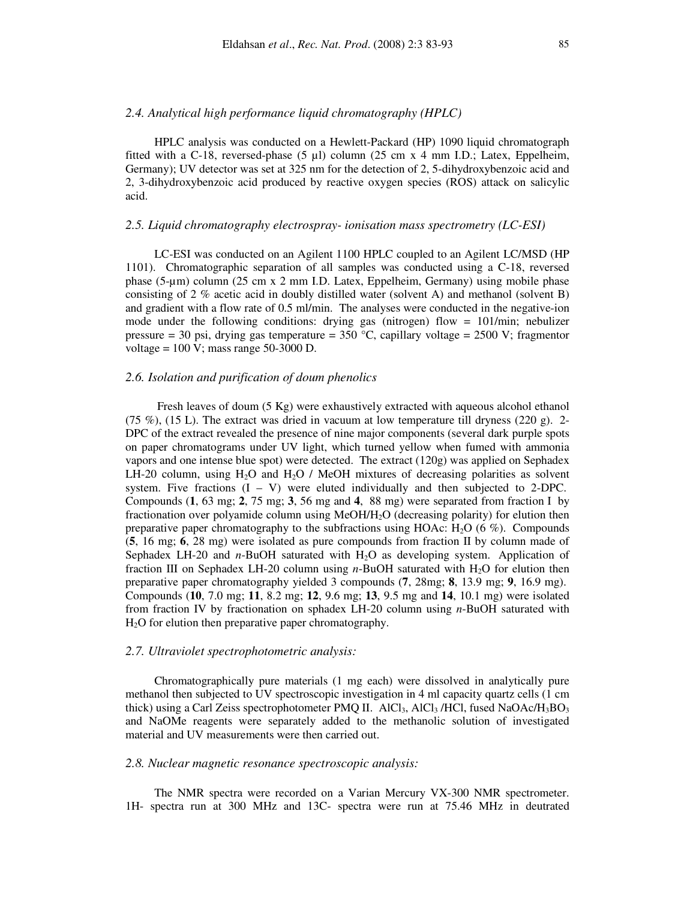## *2.4. Analytical high performance liquid chromatography (HPLC)*

HPLC analysis was conducted on a Hewlett-Packard (HP) 1090 liquid chromatograph fitted with a C-18, reversed-phase (5 µl) column (25 cm x 4 mm I.D.; Latex, Eppelheim, Germany); UV detector was set at 325 nm for the detection of 2, 5-dihydroxybenzoic acid and 2, 3-dihydroxybenzoic acid produced by reactive oxygen species (ROS) attack on salicylic acid.

### *2.5. Liquid chromatography electrospray- ionisation mass spectrometry (LC-ESI)*

LC-ESI was conducted on an Agilent 1100 HPLC coupled to an Agilent LC/MSD (HP 1101). Chromatographic separation of all samples was conducted using a C-18, reversed phase (5-µm) column (25 cm x 2 mm I.D. Latex, Eppelheim, Germany) using mobile phase consisting of 2 % acetic acid in doubly distilled water (solvent A) and methanol (solvent B) and gradient with a flow rate of 0.5 ml/min. The analyses were conducted in the negative-ion mode under the following conditions: drying gas (nitrogen) flow = 101/min; nebulizer pressure = 30 psi, drying gas temperature = 350  $\degree$ C, capillary voltage = 2500 V; fragmentor voltage = 100 V; mass range 50-3000 D.

#### *2.6. Isolation and purification of doum phenolics*

 Fresh leaves of doum (5 Kg) were exhaustively extracted with aqueous alcohol ethanol (75 %), (15 L). The extract was dried in vacuum at low temperature till dryness (220 g). 2-DPC of the extract revealed the presence of nine major components (several dark purple spots on paper chromatograms under UV light, which turned yellow when fumed with ammonia vapors and one intense blue spot) were detected. The extract (120g) was applied on Sephadex LH-20 column, using  $H_2O$  and  $H_2O$  / MeOH mixtures of decreasing polarities as solvent system. Five fractions  $(I - V)$  were eluted individually and then subjected to 2-DPC. Compounds (**1**, 63 mg; **2**, 75 mg; **3**, 56 mg and **4**, 88 mg) were separated from fraction I by fractionation over polyamide column using MeOH/H2O (decreasing polarity) for elution then preparative paper chromatography to the subfractions using HOAc:  $H_2O$  (6 %). Compounds (**5**, 16 mg; **6**, 28 mg) were isolated as pure compounds from fraction II by column made of Sephadex LH-20 and *n*-BuOH saturated with H<sub>2</sub>O as developing system. Application of fraction III on Sephadex LH-20 column using *n*-BuOH saturated with H2O for elution then preparative paper chromatography yielded 3 compounds (**7**, 28mg; **8**, 13.9 mg; **9**, 16.9 mg). Compounds (**10**, 7.0 mg; **11**, 8.2 mg; **12**, 9.6 mg; **13**, 9.5 mg and **14**, 10.1 mg) were isolated from fraction IV by fractionation on sphadex LH-20 column using *n*-BuOH saturated with  $H<sub>2</sub>O$  for elution then preparative paper chromatography.

## *2.7. Ultraviolet spectrophotometric analysis:*

Chromatographically pure materials (1 mg each) were dissolved in analytically pure methanol then subjected to UV spectroscopic investigation in 4 ml capacity quartz cells (1 cm thick) using a Carl Zeiss spectrophotometer PMQ II. AlCl<sub>3</sub>, AlCl<sub>3</sub> /HCl<sub>3</sub> fused NaOAc/H<sub>3</sub>BO<sub>3</sub> and NaOMe reagents were separately added to the methanolic solution of investigated material and UV measurements were then carried out.

#### *2.8. Nuclear magnetic resonance spectroscopic analysis:*

The NMR spectra were recorded on a Varian Mercury VX-300 NMR spectrometer. 1H- spectra run at 300 MHz and 13C- spectra were run at 75.46 MHz in deutrated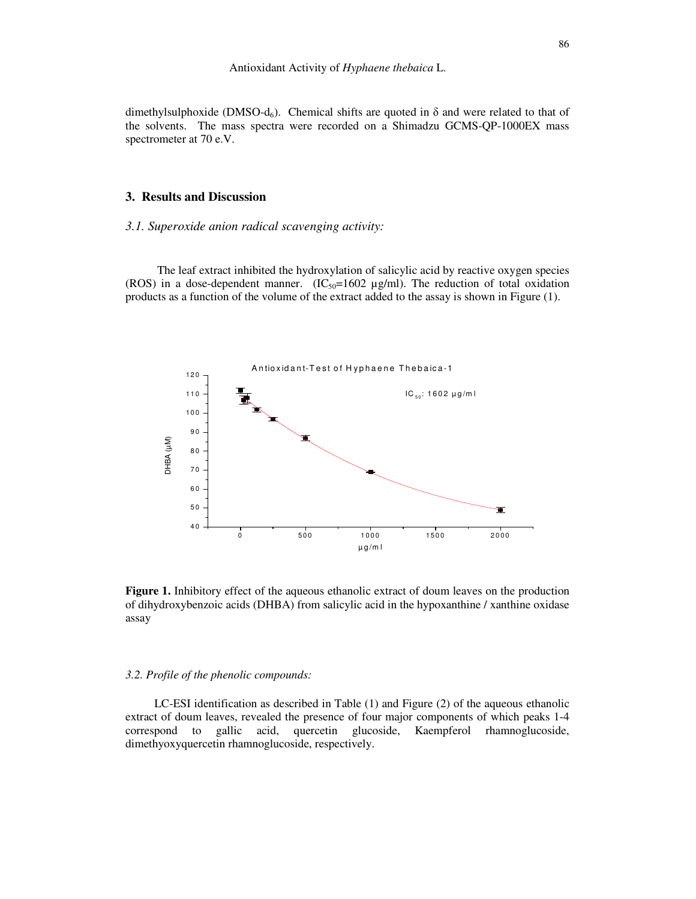dimethylsulphoxide (DMSO-d<sub>6</sub>). Chemical shifts are quoted in  $\delta$  and were related to that of the solvents. The mass spectra were recorded on a Shimadzu GCMS-QP-1000EX mass spectrometer at 70 e.V.

# **3. Results and Discussion**

## *3.1. Superoxide anion radical scavenging activity:*

 The leaf extract inhibited the hydroxylation of salicylic acid by reactive oxygen species (ROS) in a dose-dependent manner. (IC<sub>50</sub>=1602  $\mu$ g/ml). The reduction of total oxidation products as a function of the volume of the extract added to the assay is shown in Figure (1).



**Figure 1.** Inhibitory effect of the aqueous ethanolic extract of doum leaves on the production of dihydroxybenzoic acids (DHBA) from salicylic acid in the hypoxanthine / xanthine oxidase assay

### *3.2. Profile of the phenolic compounds:*

LC-ESI identification as described in Table (1) and Figure (2) of the aqueous ethanolic extract of doum leaves, revealed the presence of four major components of which peaks 1-4 correspond to gallic acid, quercetin glucoside, Kaempferol rhamnoglucoside, dimethyoxyquercetin rhamnoglucoside, respectively.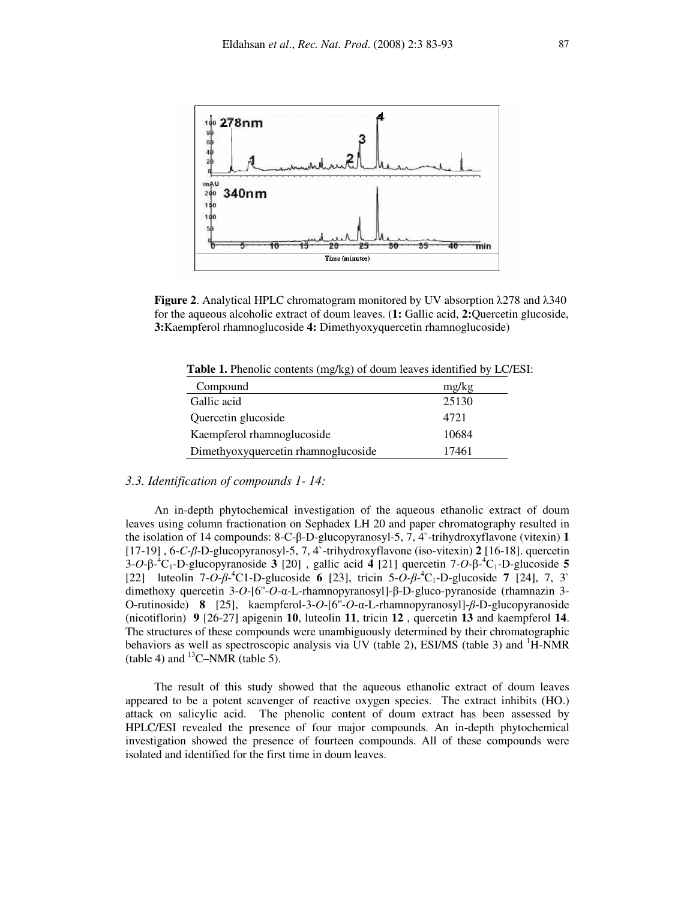

**Figure 2**. Analytical HPLC chromatogram monitored by UV absorption λ278 and λ340 for the aqueous alcoholic extract of doum leaves. (**1:** Gallic acid, **2:**Quercetin glucoside, **3:**Kaempferol rhamnoglucoside **4:** Dimethyoxyquercetin rhamnoglucoside)

 **Table 1.** Phenolic contents (mg/kg) of doum leaves identified by LC/ESI:

| Compound                            | mg/kg |
|-------------------------------------|-------|
| Gallic acid                         | 25130 |
| Quercetin glucoside                 | 4721  |
| Kaempferol rhamnoglucoside          | 10684 |
| Dimethyoxyquercetin rhamnoglucoside | 17461 |

# *3.3. Identification of compounds 1- 14:*

An in-depth phytochemical investigation of the aqueous ethanolic extract of doum leaves using column fractionation on Sephadex LH 20 and paper chromatography resulted in the isolation of 14 compounds: 8-C-β-D-glucopyranosyl-5, 7, 4`-trihydroxyflavone (vitexin) **1**  [17-19] , 6-*C-*β-D-glucopyranosyl-5, 7, 4`-trihydroxyflavone (iso-vitexin) **2** [16-18]. quercetin 3-*O*-β-<sup>4</sup>C1-D-glucopyranoside **3** [20] , gallic acid **4** [21] quercetin 7-*O*-β-<sup>4</sup>C1-D-glucoside **5** [22] luteolin 7-*O-β*<sup>-4</sup>C1-D-glucoside **6** [23], tricin 5-*O-β*<sup>-4</sup>C<sub>1</sub>-D-glucoside 7 [24], 7, 3<sup>°</sup> dimethoxy quercetin 3-*O*-[6''-*O*-α-L-rhamnopyranosyl]-β-D-gluco-pyranoside (rhamnazin 3- O-rutinoside) **8** [25], kaempferol-3-*O*-[6''-*O*-α-L-rhamnopyranosyl]-β-D-glucopyranoside (nicotiflorin) **9** [26-27] apigenin **10**, luteolin **11**, tricin **12** , quercetin **13** and kaempferol **14**. The structures of these compounds were unambiguously determined by their chromatographic behaviors as well as spectroscopic analysis via UV (table 2), ESI/MS (table 3) and  ${}^{1}$ H-NMR (table 4) and  $^{13}$ C–NMR (table 5).

The result of this study showed that the aqueous ethanolic extract of doum leaves appeared to be a potent scavenger of reactive oxygen species. The extract inhibits (HO.) attack on salicylic acid. The phenolic content of doum extract has been assessed by HPLC/ESI revealed the presence of four major compounds. An in-depth phytochemical investigation showed the presence of fourteen compounds. All of these compounds were isolated and identified for the first time in doum leaves.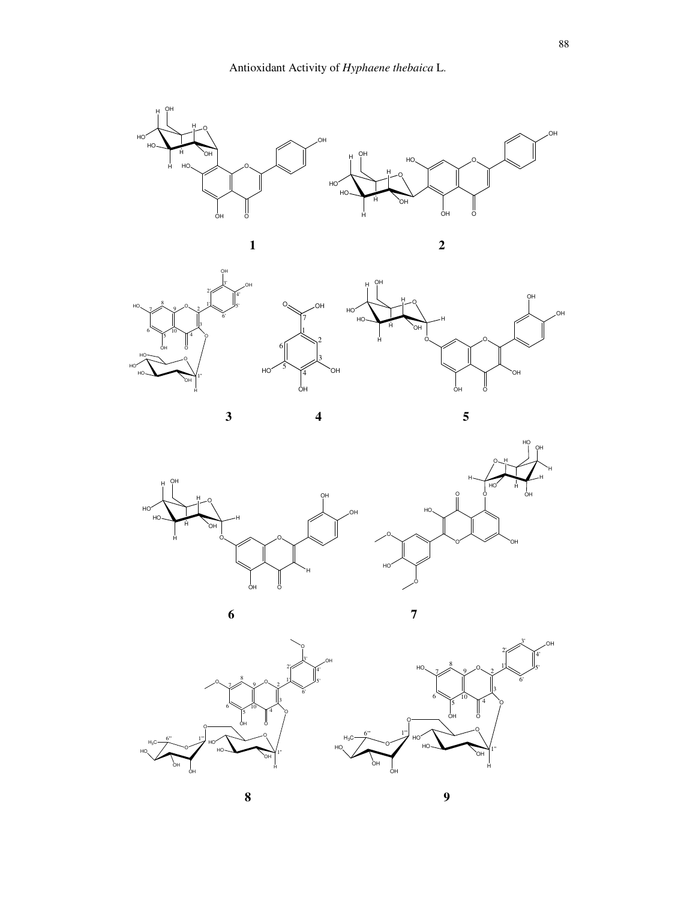









H

OH

OH

O

1

7

4 5 6





O

H

O

`ດ⊦

H

H

OH

H

HO

HO

 $\overline{\wedge}$ 





**8 9** 

OH

H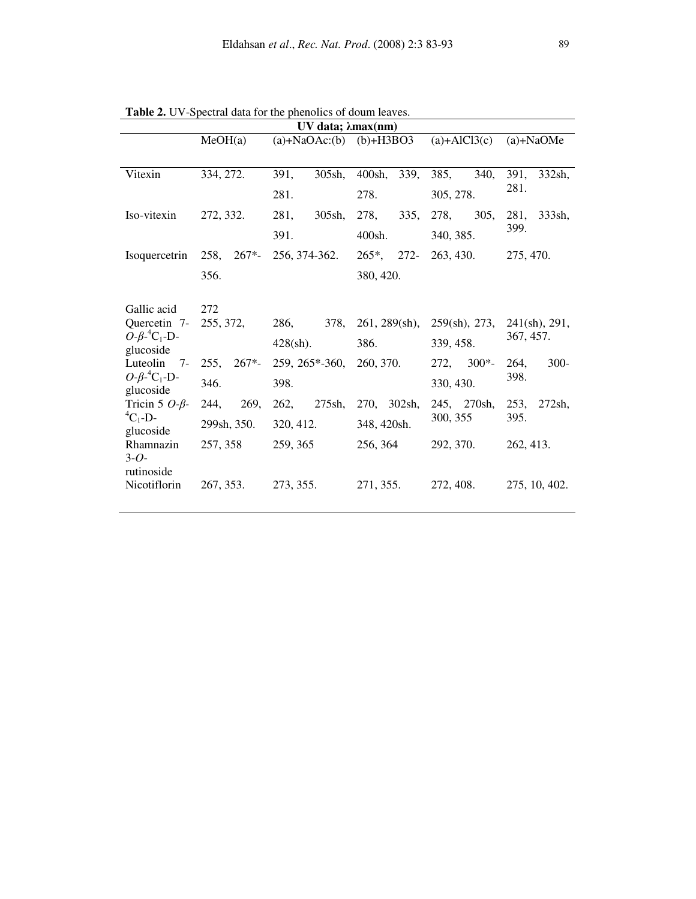| UV data; λmax(nm)                                       |                   |                   |                         |                         |                                      |  |  |  |
|---------------------------------------------------------|-------------------|-------------------|-------------------------|-------------------------|--------------------------------------|--|--|--|
|                                                         | MeOH(a)           | $(a)+NaOAc:(b)$   | $(b)+H3BO3$             | $(a)+AIC13(c)$          | $(a)+NaOMe$                          |  |  |  |
|                                                         |                   |                   |                         |                         |                                      |  |  |  |
| Vitexin                                                 | 334, 272.         | 391,<br>305sh,    | 400sh,<br>339,          | 385,<br>340,            | 391,<br>332sh,                       |  |  |  |
|                                                         |                   | 281.              | 278.                    | 305, 278.               | 281.                                 |  |  |  |
| Iso-vitexin                                             | 272, 332.         | 281,<br>305sh,    | 278,<br>335,            | 278,<br>305,            | 281.<br>333sh,<br>399.               |  |  |  |
|                                                         |                   | 391.              | 400sh.                  | 340, 385.               |                                      |  |  |  |
| Isoquercetrin                                           | 258,<br>$267^*$ - | 256, 374-362.     | $265^*$ ,<br>272-       | 263, 430.               | 275, 470.                            |  |  |  |
|                                                         | 356.              |                   | 380, 420.               |                         |                                      |  |  |  |
|                                                         |                   |                   |                         |                         |                                      |  |  |  |
| Gallic acid                                             | 272               |                   |                         |                         |                                      |  |  |  |
| Quercetin 7-                                            | 255, 372,         | 286,<br>378,      | $261, 289(\text{sh})$ , | $259(\text{sh})$ , 273, | $241(\text{sh})$ , 291,<br>367, 457. |  |  |  |
| $O-\beta$ <sup>-4</sup> C <sub>1</sub> -D-<br>glucoside |                   | $428(\text{sh}).$ | 386.                    | 339, 458.               |                                      |  |  |  |
| Luteolin<br>$7-$                                        | 255,<br>$267*$    | $259, 265*-360,$  | 260, 370.               | $300*$<br>272,          | 264,<br>$300 -$                      |  |  |  |
| $O-\beta$ <sup>-4</sup> C <sub>1</sub> -D-<br>glucoside | 346.              | 398.              |                         | 330, 430.               | 398.                                 |  |  |  |
| Tricin 5 $O-\beta$ -                                    | 269,<br>244,      | 262,<br>275sh,    | 270, 302sh,             | 245, 270sh,             | 253,<br>272sh,                       |  |  |  |
| ${^4C_1}$ -D-<br>glucoside                              | 299sh, 350.       | 320, 412.         | 348, 420sh.             | 300, 355                | 395.                                 |  |  |  |
| Rhamnazin                                               | 257, 358          | 259, 365          | 256, 364                | 292, 370.               | 262, 413.                            |  |  |  |
| $3 - 0 -$<br>rutinoside                                 |                   |                   |                         |                         |                                      |  |  |  |
| Nicotiflorin                                            | 267, 353.         | 273, 355.         | 271, 355.               | 272, 408.               | 275, 10, 402.                        |  |  |  |

**Table 2.** UV-Spectral data for the phenolics of doum leaves.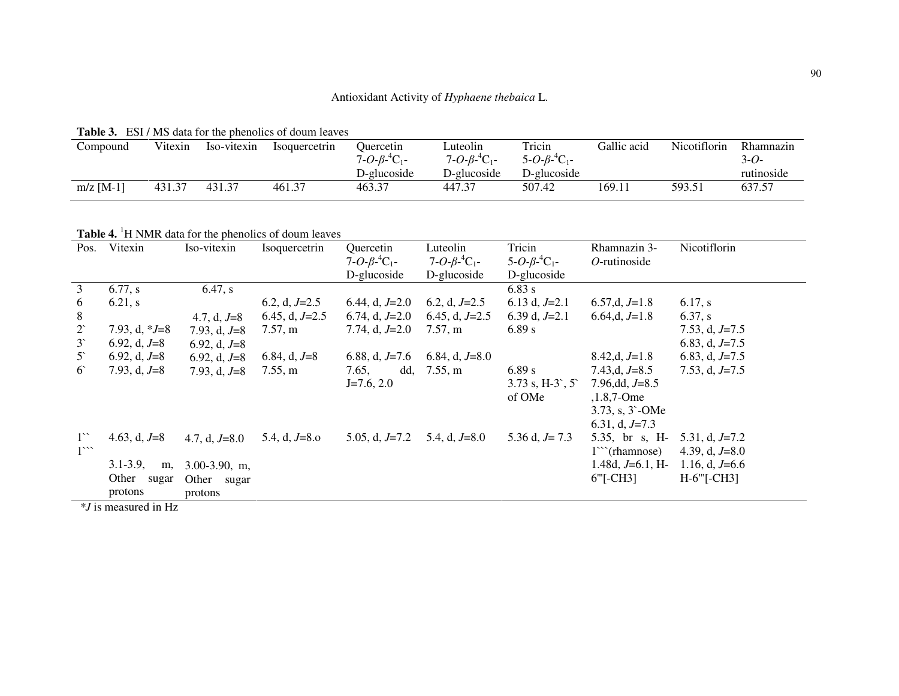**Table 3.** ESI / MS data for the phenolics of doum leaves

| Compound    | Vitexin | Iso-vitexin | Isoquercetrin | Ouercetin               | Luteolin                | Tricin                                       | Gallic acid | <b>Nicotiflorin</b> | Rhamnazin  |
|-------------|---------|-------------|---------------|-------------------------|-------------------------|----------------------------------------------|-------------|---------------------|------------|
|             |         |             |               | $7 - O - \beta^{-4}C_1$ | $7 - O - \beta^{-4}C_1$ | 5-O- $\beta$ - <sup>4</sup> C <sub>1</sub> - |             |                     | $3 - O -$  |
|             |         |             |               | D-glucoside             | $D$ -glucoside          | D-glucoside                                  |             |                     | rutinoside |
| $m/z$ [M-1] | 431.37  | 431.37      | 461.37        | 463.37                  | 447.37                  | 507.42                                       | 169.11      | 593.51              | 637.57     |

**Table 4.** <sup>1</sup>H NMR data for the phenolics of doum leaves

| Pos.           | Vitexin            | Iso-vitexin        | Isoquercetrin    | Quercetin             | Luteolin                | Tricin                  | Rhamnazin 3-                        | Nicotiflorin     |
|----------------|--------------------|--------------------|------------------|-----------------------|-------------------------|-------------------------|-------------------------------------|------------------|
|                |                    |                    |                  | $7 - O - \beta^4 C_1$ | $7 - O - \beta^{-4}C_1$ | $5 - O - \beta^{-4}C_1$ | $O$ -rutinoside                     |                  |
|                |                    |                    |                  | D-glucoside           | D-glucoside             | D-glucoside             |                                     |                  |
| $\overline{3}$ | 6.77, s            | 6.47, s            |                  |                       |                         | 6.83 s                  |                                     |                  |
| 6              | 6.21, s            |                    | 6.2, d, $J=2.5$  | 6.44, d, $J=2.0$      | 6.2, d, $J=2.5$         | 6.13 d, $J=2.1$         | $6.57,d, J=1.8$                     | 6.17, s          |
| 8              |                    | 4.7, d, $J=8$      | 6.45, d, $J=2.5$ | 6.74, d, $J=2.0$      | 6.45, d, $J=2.5$        | 6.39 d, $J=2.1$         | $6.64,d, J=1.8$                     | 6.37, s          |
| $2^{\circ}$    | 7.93, d, $*J=8$    | 7.93, d, $J=8$     | 7.57, m          | 7.74, d, $J=2.0$      | 7.57, m                 | 6.89 s                  |                                     | 7.53, d, $J=7.5$ |
| $3^{\circ}$    | 6.92, d, $J=8$     | 6.92, d, $J=8$     |                  |                       |                         |                         |                                     | 6.83, d, $J=7.5$ |
| $5^{\circ}$    | 6.92, d, $J=8$     | 6.92, d, $J=8$     | 6.84, d, $J=8$   | 6.88, d, $J=7.6$      | 6.84, d, $J=8.0$        |                         | $8.42,d, J=1.8$                     | 6.83, d, $J=7.5$ |
| 6              | 7.93, d, $J=8$     | 7.93, d, $J=8$     | 7.55, m          | 7.65,                 | dd, $7.55$ , m          | 6.89 s                  | $7.43,d, J=8.5$                     | 7.53, d, $J=7.5$ |
|                |                    |                    |                  | $J=7.6, 2.0$          |                         | $3.73$ s, H-3, 5        | 7.96,dd, $J=8.5$                    |                  |
|                |                    |                    |                  |                       |                         | of OMe                  | $,1.8,7$ -Ome                       |                  |
|                |                    |                    |                  |                       |                         |                         | $3.73$ , s, $3^{\circ}$ -OMe        |                  |
|                |                    |                    |                  |                       |                         |                         | 6.31, d, $J=7.3$                    |                  |
| $1^{\sim}$     | 4.63, d, $J=8$     | 4.7, d, $J=8.0$    | 5.4, d, $J=8.0$  | 5.05, d, $J=7.2$      | 5.4, d, $J=8.0$         | 5.36 d, $J=7.3$         | 5.35, br s, H-                      | $5.31, d, J=7.2$ |
| $1$ $\cdots$   |                    |                    |                  |                       |                         |                         | $1^{\prime\prime\prime}$ (rhamnose) | 4.39, d, $J=8.0$ |
|                | $3.1 - 3.9,$<br>m, | $3.00 - 3.90$ , m, |                  |                       |                         |                         | 1.48d, $J=6.1$ , H-                 | 1.16, d, $J=6.6$ |
|                | Other sugar        | Other sugar        |                  |                       |                         |                         | $6"$ [-CH3]                         | $H-6"[-CH3]$     |
|                | protons            | protons            |                  |                       |                         |                         |                                     |                  |

*\*J* is measured in Hz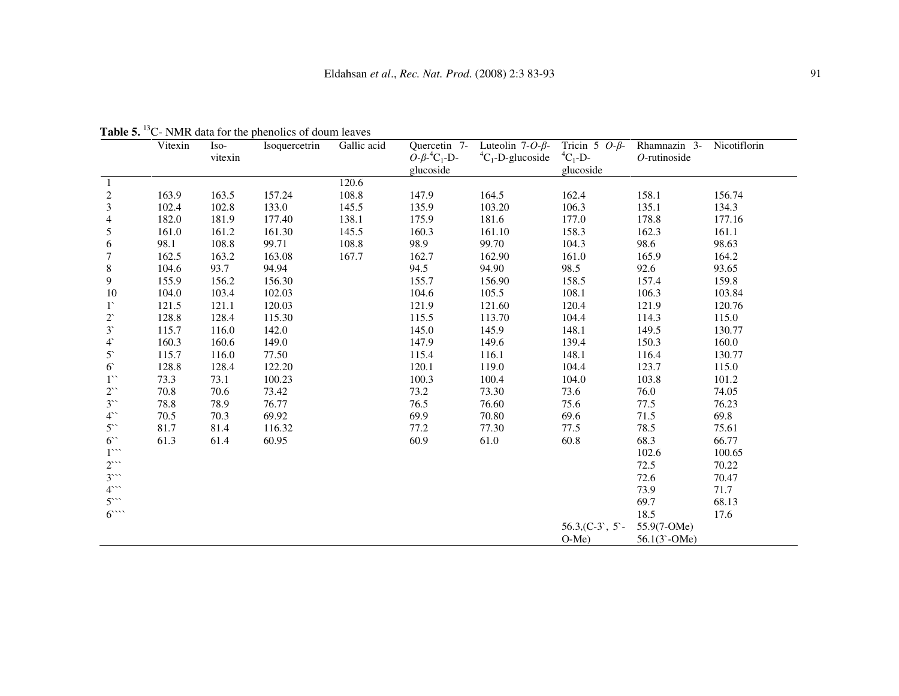|                             | Vitexin | Iso-<br>vitexin | Isoquercetrin | Gallic acid | Quercetin 7-<br>$O-\beta$ <sup>-4</sup> C <sub>1</sub> -D- | Luteolin $7 - O - \beta$<br>${}^4C_1$ -D-glucoside | Tricin 5 $O-\beta$ -<br>${^4C_1}$ -D- | Rhamnazin 3-<br>$O$ -rutinoside | Nicotiflorin |
|-----------------------------|---------|-----------------|---------------|-------------|------------------------------------------------------------|----------------------------------------------------|---------------------------------------|---------------------------------|--------------|
|                             |         |                 |               |             | glucoside                                                  |                                                    | glucoside                             |                                 |              |
|                             |         |                 |               | 120.6       |                                                            |                                                    |                                       |                                 |              |
| $\overline{c}$              | 163.9   | 163.5           | 157.24        | 108.8       | 147.9                                                      | 164.5                                              | 162.4                                 | 158.1                           | 156.74       |
| 3                           | 102.4   | 102.8           | 133.0         | 145.5       | 135.9                                                      | 103.20                                             | 106.3                                 | 135.1                           | 134.3        |
| 4                           | 182.0   | 181.9           | 177.40        | 138.1       | 175.9                                                      | 181.6                                              | 177.0                                 | 178.8                           | 177.16       |
| 5                           | 161.0   | 161.2           | 161.30        | 145.5       | 160.3                                                      | 161.10                                             | 158.3                                 | 162.3                           | 161.1        |
| 6                           | 98.1    | 108.8           | 99.71         | 108.8       | 98.9                                                       | 99.70                                              | 104.3                                 | 98.6                            | 98.63        |
| 7                           | 162.5   | 163.2           | 163.08        | 167.7       | 162.7                                                      | 162.90                                             | 161.0                                 | 165.9                           | 164.2        |
| 8                           | 104.6   | 93.7            | 94.94         |             | 94.5                                                       | 94.90                                              | 98.5                                  | 92.6                            | 93.65        |
| 9                           | 155.9   | 156.2           | 156.30        |             | 155.7                                                      | 156.90                                             | 158.5                                 | 157.4                           | 159.8        |
| 10                          | 104.0   | 103.4           | 102.03        |             | 104.6                                                      | 105.5                                              | 108.1                                 | 106.3                           | 103.84       |
| $1^{\circ}$                 | 121.5   | 121.1           | 120.03        |             | 121.9                                                      | 121.60                                             | 120.4                                 | 121.9                           | 120.76       |
| $2\ensuremath{^\backprime}$ | 128.8   | 128.4           | 115.30        |             | 115.5                                                      | 113.70                                             | 104.4                                 | 114.3                           | 115.0        |
| $3^{\circ}$                 | 115.7   | 116.0           | 142.0         |             | 145.0                                                      | 145.9                                              | 148.1                                 | 149.5                           | 130.77       |
| $4^{\circ}$                 | 160.3   | 160.6           | 149.0         |             | 147.9                                                      | 149.6                                              | 139.4                                 | 150.3                           | 160.0        |
| $5^{\circ}$                 | 115.7   | 116.0           | 77.50         |             | 115.4                                                      | 116.1                                              | 148.1                                 | 116.4                           | 130.77       |
| 6                           | 128.8   | 128.4           | 122.20        |             | 120.1                                                      | 119.0                                              | 104.4                                 | 123.7                           | 115.0        |
| $1^{\prime\prime}$          | 73.3    | 73.1            | 100.23        |             | 100.3                                                      | 100.4                                              | 104.0                                 | 103.8                           | 101.2        |
| $2^{\cdots}$                | 70.8    | 70.6            | 73.42         |             | 73.2                                                       | 73.30                                              | 73.6                                  | 76.0                            | 74.05        |
| $3^{\prime\prime}$          | 78.8    | 78.9            | 76.77         |             | 76.5                                                       | 76.60                                              | 75.6                                  | 77.5                            | 76.23        |
| $4^{\prime\prime}$          | 70.5    | 70.3            | 69.92         |             | 69.9                                                       | 70.80                                              | 69.6                                  | 71.5                            | 69.8         |
| $5^{\prime\prime}$          | 81.7    | 81.4            | 116.32        |             | 77.2                                                       | 77.30                                              | 77.5                                  | 78.5                            | 75.61        |
| $6^{\prime\prime}$          | 61.3    | 61.4            | 60.95         |             | 60.9                                                       | 61.0                                               | 60.8                                  | 68.3                            | 66.77        |
| $1$ $\cdots$                |         |                 |               |             |                                                            |                                                    |                                       | 102.6                           | 100.65       |
| $2^{\cdots}$                |         |                 |               |             |                                                            |                                                    |                                       | 72.5                            | 70.22        |
| 3                           |         |                 |               |             |                                                            |                                                    |                                       | 72.6                            | 70.47        |
| $4^{\cdots}$                |         |                 |               |             |                                                            |                                                    |                                       | 73.9                            | 71.7         |
| 5                           |         |                 |               |             |                                                            |                                                    |                                       | 69.7                            | 68.13        |
| $6$ <sup>****</sup>         |         |                 |               |             |                                                            |                                                    |                                       | 18.5                            | 17.6         |
|                             |         |                 |               |             |                                                            |                                                    | $56.3$ , $(C-3^{\circ}, 5^{\circ})$   | 55.9(7-OMe)                     |              |
|                             |         |                 |               |             |                                                            |                                                    | $O-Me)$                               | $56.1(3)-OMe)$                  |              |

**Table 5.** <sup>13</sup>C- NMR data for the phenolics of doum leaves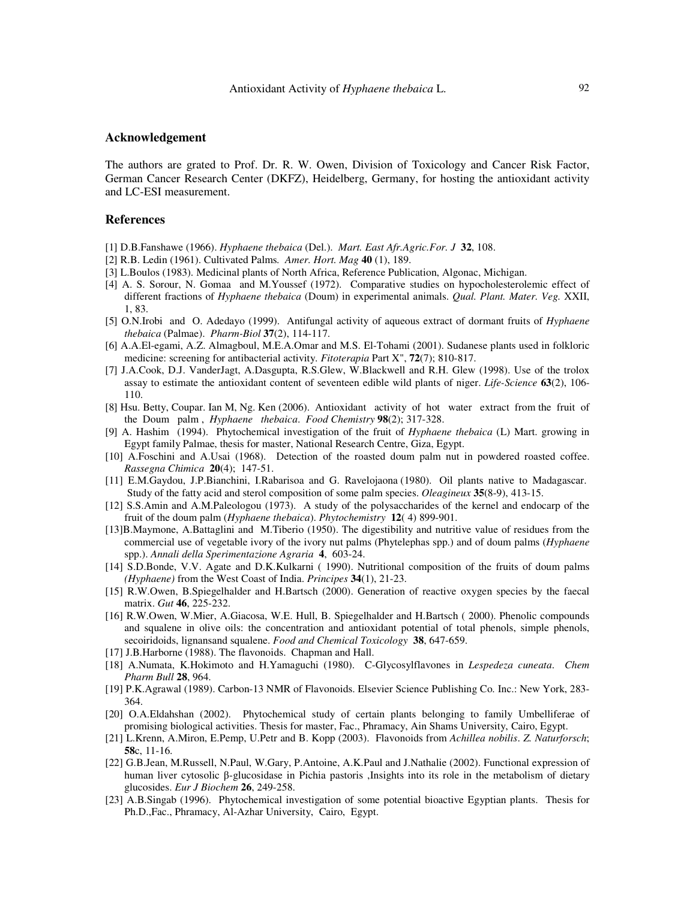## **Acknowledgement**

The authors are grated to Prof. Dr. R. W. Owen, Division of Toxicology and Cancer Risk Factor, German Cancer Research Center (DKFZ), Heidelberg, Germany, for hosting the antioxidant activity and LC-ESI measurement.

## **References**

- [1] D.B.Fanshawe (1966). *Hyphaene thebaica* (Del.). *Mart. East Afr.Agric.For. J* **32**, 108.
- [2] R.B. Ledin (1961). Cultivated Palms*. Amer. Hort. Mag* **40** (1), 189.
- [3] L.Boulos (1983). Medicinal plants of North Africa, Reference Publication, Algonac, Michigan.
- [4] A. S. Sorour, N. Gomaa and M.Youssef (1972). Comparative studies on hypocholesterolemic effect of different fractions of *Hyphaene thebaica* (Doum) in experimental animals. *Qual. Plant. Mater. Veg.* XXII, 1, 83.
- [5] O.N.Irobi and O. Adedayo (1999). Antifungal activity of aqueous extract of dormant fruits of *Hyphaene thebaica* (Palmae). *Pharm-Biol* **37**(2), 114-117.
- [6] A.A.El-egami, A.Z. Almagboul, M.E.A.Omar and M.S. El-Tohami (2001). Sudanese plants used in folkloric medicine: screening for antibacterial activity. *Fitoterapia* Part X", **72**(7); 810-817.
- [7] J.A.Cook, D.J. VanderJagt, A.Dasgupta, R.S.Glew, W.Blackwell and R.H. Glew (1998). Use of the trolox assay to estimate the antioxidant content of seventeen edible wild plants of niger. *Life-Science* **63**(2), 106- 110.
- [8] Hsu. Betty, Coupar. Ian M, Ng. Ken (2006). Antioxidant activity of hot water extract from the fruit of the Doum palm , *Hyphaene thebaica*. *Food Chemistry* **98**(2); 317-328.
- [9] A. Hashim (1994). Phytochemical investigation of the fruit of *Hyphaene thebaica* (L) Mart. growing in Egypt family Palmae, thesis for master, National Research Centre, Giza, Egypt.
- [10] A.Foschini and A.Usai (1968). Detection of the roasted doum palm nut in powdered roasted coffee. *Rassegna Chimica* **20**(4); 147-51.
- [11] E.M.Gaydou, J.P.Bianchini, I.Rabarisoa and G. Ravelojaona (1980). Oil plants native to Madagascar. Study of the fatty acid and sterol composition of some palm species. *Oleagineux* **35**(8-9), 413-15.
- [12] S.S.Amin and A.M.Paleologou (1973). A study of the polysaccharides of the kernel and endocarp of the fruit of the doum palm (*Hyphaene thebaica*). *Phytochemistry* **12**( 4) 899-901.
- [13]B.Maymone, A.Battaglini and M.Tiberio (1950). The digestibility and nutritive value of residues from the commercial use of vegetable ivory of the ivory nut palms (Phytelephas spp.) and of doum palms (*Hyphaene*  spp.). *Annali della Sperimentazione Agraria* **4**, 603-24.
- [14] S.D.Bonde, V.V. Agate and D.K.Kulkarni ( 1990). Nutritional composition of the fruits of doum palms *(Hyphaene)* from the West Coast of India. *Principes* **34**(1), 21-23.
- [15] R.W.Owen, B.Spiegelhalder and H.Bartsch (2000). Generation of reactive oxygen species by the faecal matrix. *Gut* **46**, 225-232.
- [16] R.W.Owen, W.Mier, A.Giacosa, W.E. Hull, B. Spiegelhalder and H.Bartsch ( 2000). Phenolic compounds and squalene in olive oils: the concentration and antioxidant potential of total phenols, simple phenols, secoiridoids, lignansand squalene. *Food and Chemical Toxicology* **38**, 647-659.
- [17] J.B.Harborne (1988). The flavonoids. Chapman and Hall.
- [18] A.Numata, K.Hokimoto and H.Yamaguchi (1980). C-Glycosylflavones in *Lespedeza cuneata*. *Chem Pharm Bull* **28**, 964.
- [19] P.K.Agrawal (1989). Carbon-13 NMR of Flavonoids. Elsevier Science Publishing Co. Inc.: New York, 283- 364.
- [20] O.A.Eldahshan (2002). Phytochemical study of certain plants belonging to family Umbelliferae of promising biological activities. Thesis for master, Fac., Phramacy, Ain Shams University, Cairo, Egypt.
- [21] L.Krenn, A.Miron, E.Pemp, U.Petr and B. Kopp (2003). Flavonoids from *Achillea nobilis*. *Z. Naturforsch*; **58**c, 11-16.
- [22] G.B.Jean, M.Russell, N.Paul, W.Gary, P.Antoine, A.K.Paul and J.Nathalie (2002). Functional expression of human liver cytosolic β-glucosidase in Pichia pastoris ,Insights into its role in the metabolism of dietary glucosides. *Eur J Biochem* **26**, 249-258.
- [23] A.B.Singab (1996). Phytochemical investigation of some potential bioactive Egyptian plants. Thesis for Ph.D.,Fac., Phramacy, Al-Azhar University, Cairo, Egypt.